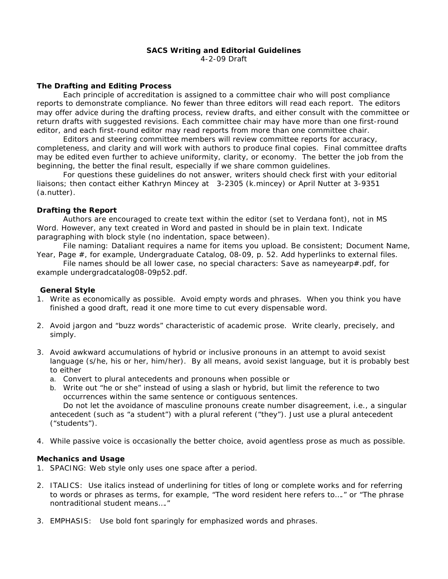#### **SACS Writing and Editorial Guidelines**  4-2-09 Draft

## **The Drafting and Editing Process**

Each principle of accreditation is assigned to a committee chair who will post compliance reports to demonstrate compliance. No fewer than three editors will read each report. The editors may offer advice during the drafting process, review drafts, and either consult with the committee or return drafts with suggested revisions. Each committee chair may have more than one first-round editor, and each first-round editor may read reports from more than one committee chair.

 Editors and steering committee members will review committee reports for accuracy, completeness, and clarity and will work with authors to produce final copies. Final committee drafts may be edited even further to achieve uniformity, clarity, or economy. The better the job from the beginning, the better the final result, especially if we share common guidelines.

For questions these guidelines do not answer, writers should check first with your editorial liaisons; then contact either Kathryn Mincey at 3-2305 (k.mincey) or April Nutter at 3-9351 (a.nutter).

# **Drafting the Report**

Authors are encouraged to create text within the editor (set to Verdana font), not in MS Word. However, any text created in Word and pasted in should be in plain text. Indicate paragraphing with block style (no indentation, space between).

File naming: Dataliant requires a name for items you upload. Be consistent; Document Name, Year, Page #, for example, *Undergraduate Catalog, 08-09, p. 52.* Add hyperlinks to external files.

File names should be all lower case, no special characters: Save as nameyearp#.pdf, for example *undergradcatalog08-09p52.pdf.* 

## **General Style**

- 1. Write as economically as possible. Avoid empty words and phrases. When you think you have finished a good draft, read it one more time to cut every dispensable word.
- 2. Avoid jargon and "buzz words" characteristic of academic prose. Write clearly, precisely, and simply.
- 3. Avoid awkward accumulations of hybrid or inclusive pronouns in an attempt to avoid sexist language (*s/he, his or her, him/her)*. By all means, avoid sexist language, but it is probably best to either
	- a. Convert to plural antecedents and pronouns when possible or
	- b. Write out "he or she" instead of using a slash or hybrid, but limit the reference to two occurrences within the same sentence or contiguous sentences.

 Do not let the avoidance of masculine pronouns create number disagreement, i.e., a singular antecedent (such as "a student") with a plural referent ("they"). Just use a plural antecedent ("students").

4. While passive voice is occasionally the better choice, avoid agentless prose as much as possible.

## **Mechanics and Usage**

- 1. SPACING: Web style only uses one space after a period.
- 2. ITALICS: Use italics instead of underlining for titles of long or complete works and for referring to words or phrases as terms, for example, "The word *resident* here refers to…." or "The phrase *nontraditional student* means…."
- 3. EMPHASIS: Use bold font sparingly for emphasized words and phrases.